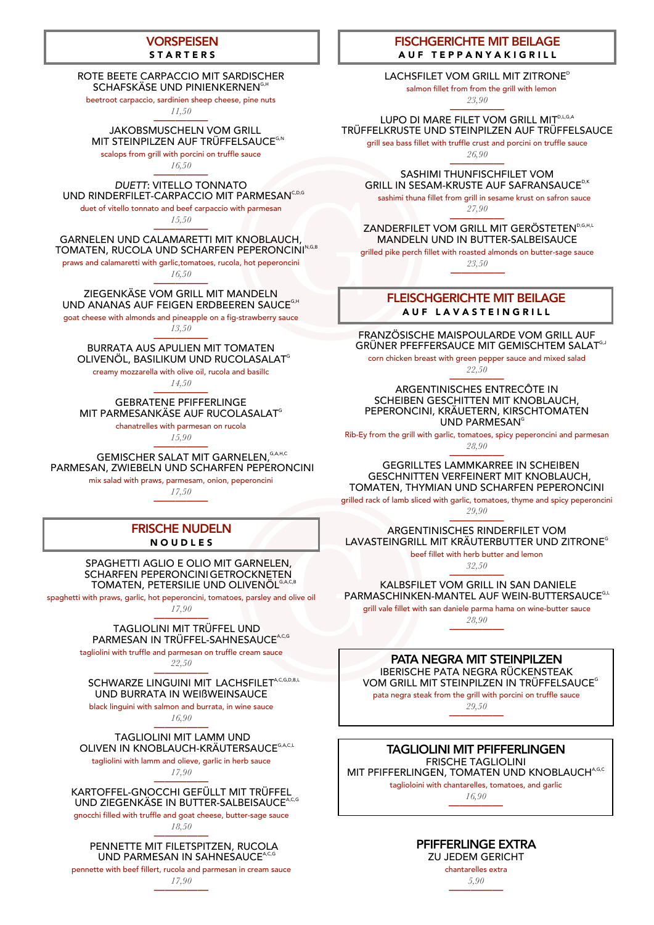# **VORSPEISEN**

### **STARTERS**

#### ROTE BEETE CARPACCIO MIT SARDISCHER SCHAFSKÄSE UND PINIENKERNEN<sup>G,H</sup>

### JAKOBSMUSCHELN VOM GRILL MIT STEINPILZEN AUF TRÜFFELSAUCE<sup>G,N</sup>

beetroot carpaccio, sardinien sheep cheese, pine nuts

#### ————— *DUETT*: VITELLO TONNATO UND RINDERFILET-CARPACCIO MIT PARMESAN<sup>C,D,G</sup>

*11,50* —————

#### ————— GARNELEN UND CALAMARETTI MIT KNOBLAUCH, TOMATEN, RUCOLA UND SCHARFEN PEPERONCINI<sup>N,G,B</sup>

scalops from grill with porcini on truffle sauce

*16,50*

#### ————— ZIEGENKÄSE VOM GRILL MIT MANDELN UND ANANAS AUF FEIGEN ERDBEEREN SAUCE<sup>G,H</sup>

duet of vitello tonnato and beef carpaccio with parmesan

## BURRATA AUS APULIEN MIT TOMATEN OLIVENÖL, BASILIKUM UND RUCOLASALAT<sup>G</sup>

*15,50*

#### ————— GEBRATENE PFIFFERLINGE MIT PARMESANKÄSE AUF RUCOLASALAT<sup>G</sup>

praws and calamaretti with garlic,tomatoes, rucola, hot peperoncini *16,50*

> SPAGHETTI AGLIO E OLIO MIT GARNELEN, SCHARFEN PEPERONCINIGETROCKNETEN TOMATEN, PETERSILIE UND OLIVENÖL<sup>G,A,C,B</sup>

#### ————— TAGLIOLINI MIT TRÜFFEL UND PARMESAN IN TRÜFFEL-SAHNESAUCE<sup>A,C,G</sup>

goat cheese with almonds and pineapple on a fig-strawberry sauce

*13,50* —————

#### ————— TAGLIOLINI MIT LAMM UND OLIVEN IN KNOBLAUCH-KRÄUTERSAUCE<sup>G,A,C,L</sup>

creamy mozzarella with olive oil, rucola and basilIc

*14,50*

#### ————— KARTOFFEL-GNOCCHI GEFÜLLT MIT TRÜFFEL UND ZIEGENKÄSE IN BUTTER-SALBEISAUCE<sup>A,C,G</sup>

chanatrelles with parmesan on rucola

#### ————— PENNETTE MIT FILETSPITZEN, RUCOLA UND PARMESAN IN SAHNESAUCE<sup>A,C,G</sup>

*15,90*

#### ————— **GEMISCHER SALAT MIT GARNELEN, GA,H,C** PARMESAN, ZWIEBELN UND SCHARFEN PEPERONCINI

# FRISCHE NUDELN **NOUDLES**

# FLEISCHGERICHTE MIT BEILAGE AUF LAVASTEINGRILL

mix salad with praws, parmesam, onion, peperoncini

# FISCHGERICHTE MIT BEILAGE AUF TEPPANYAKIGRILL

# LACHSFILET VOM GRILL MIT ZITRONE<sup>D</sup>

*17,50* —————

# FRANZÖSISCHE MAISPOULARDE VOM GRILL AUF GRÜNER PFEFFERSAUCE MIT GEMISCHTEM SALAT<sup>G,J</sup>

ARGENTINISCHES ENTRECÔTE IN SCHEIBEN GESCHITTEN MIT KNOBLAUCH, PEPERONCINI, KRÄUETERN, KIRSCHTOMATEN UND PARMESAN<sup>G</sup>

spaghetti with praws, garlic, hot peperoncini, tomatoes, parsley and olive oil

*17,90*

## GEGRILLTES LAMMKARREE IN SCHEIBEN GESCHNITTEN VERFEINERT MIT KNOBLAUCH, TOMATEN, THYMIAN UND SCHARFEN PEPERONCINI

————— ARGENTINISCHES RINDERFILET VOM LAVASTEINGRILL MIT KRÄUTERBUTTER UND ZITRONE<sup>G</sup>

tagliolini with truffle and parmesan on truffle cream sauce

*22,50*

#### ————— SCHWARZE LINGUINI MIT LACHSFILET<sup>A,C,G,D,B,L</sup> UND BURRATA IN WEIßWEINSAUCE

black linguini with salmon and burrata, in wine sauce

*16,90*

————— SASHIMI THUNFISCHFILET VOM GRILL IN SESAM-KRUSTE AUF SAFRANSAUCE<sup>D,K</sup>

tagliolini with lamm and olieve, garlic in herb sauce

*17,90*

# ZANDERFILET VOM GRILL MIT GERÖSTETEN<sup>D,G,H,L</sup> MANDELN UND IN BUTTER-SALBEISAUCE

IBERISCHE PATA NEGRA RÜCKENSTEAK VOM GRILL MIT STEINPILZEN IN TRÜFFELSAUCE<sup>G</sup>

gnocchi filled with truffle and goat cheese, butter-sage sauce

*18,50*

pennette with beef fillert, rucola and parmesan in cream sauce

*17,90* —————

corn chicken breast with green pepper sauce and mixed salad

*22,50* —————

Rib-Ey from the grill with garlic, tomatoes, spicy peperoncini and parmesan

*28,90*

grilled rack of lamb sliced with garlic, tomatoes, thyme and spicy peperoncini

*29,90*

beef fillet with herb butter and lemon

*32,50*

KALBSFILET VOM GRILL IN SAN DANIELE PARMASCHINKEN-MANTEL AUF WEIN-BUTTERSAUCE<sup>G,L</sup>

grill vale fillet with san daniele parma hama on wine-butter sauce

*28,90* —————

salmon fillet from from the grill with lemon

*23,90*

————— LUPO DI MARE FILET VOM GRILL MIT $^{\circ_{\mathsf{L},\mathsf{G},\mathsf{A}}}$ TRÜFFELKRUSTE UND STEINPILZEN AUF TRÜFFELSAUCE

grill sea bass fillet with truffle crust and porcini on truffle sauce

*26,90*

sashimi thuna fillet from grill in sesame krust on safron sauce

*27,90*

grilled pike perch fillet with roasted almonds on butter-sage sauce *23,50*

—————

# PATA NEGRA MIT STEINPILZEN

pata negra steak from the grill with porcini on truffle sauce

*29,50* —————

# TAGLIOLINI MIT PFIFFERLINGEN FRISCHE TAGLIOLINI MIT PFIFFERLINGEN, TOMATEN UND KNOBLAUCH<sup>A,G,C</sup> taglioloini with chantarelles, tomatoes, and garlic

*16,90* —————

### PFIFFERLINGE EXTRA ZU JEDEM GERICHT

chantarelles extra

*5,90* —————